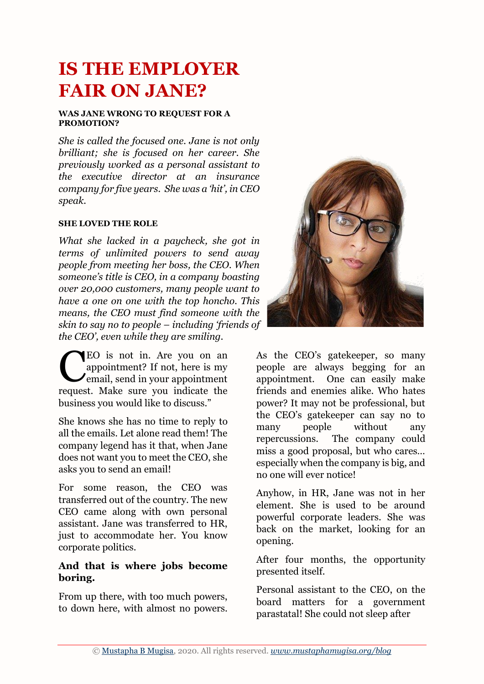# **IS THE EMPLOYER FAIR ON JANE?**

#### **WAS JANE WRONG TO REQUEST FOR A PROMOTION?**

*She is called the focused one. Jane is not only brilliant; she is focused on her career. She previously worked as a personal assistant to the executive director at an insurance company for five years. She was a 'hit', in CEO speak.* 

#### **SHE LOVED THE ROLE**

*What she lacked in a paycheck, she got in terms of unlimited powers to send away people from meeting her boss, the CEO. When someone's title is CEO, in a company boasting over 20,000 customers, many people want to have a one on one with the top honcho. This means, the CEO must find someone with the skin to say no to people – including 'friends of the CEO', even while they are smiling.* 

EO is not in. Are you on an appointment? If not, here is my  $\sum_{n=1}^{\infty}$  email, send in your appointment request. Make sure you indicate the business you would like to discuss." C

She knows she has no time to reply to all the emails. Let alone read them! The company legend has it that, when Jane does not want you to meet the CEO, she asks you to send an email!

For some reason, the CEO was transferred out of the country. The new CEO came along with own personal assistant. Jane was transferred to HR, just to accommodate her. You know corporate politics.

### **And that is where jobs become boring.**

From up there, with too much powers, to down here, with almost no powers.



As the CEO's gatekeeper, so many people are always begging for an appointment. One can easily make friends and enemies alike. Who hates power? It may not be professional, but the CEO's gatekeeper can say no to many people without any repercussions. The company could miss a good proposal, but who cares… especially when the company is big, and no one will ever notice!

Anyhow, in HR, Jane was not in her element. She is used to be around powerful corporate leaders. She was back on the market, looking for an opening.

After four months, the opportunity presented itself.

Personal assistant to the CEO, on the board matters for a government parastatal! She could not sleep after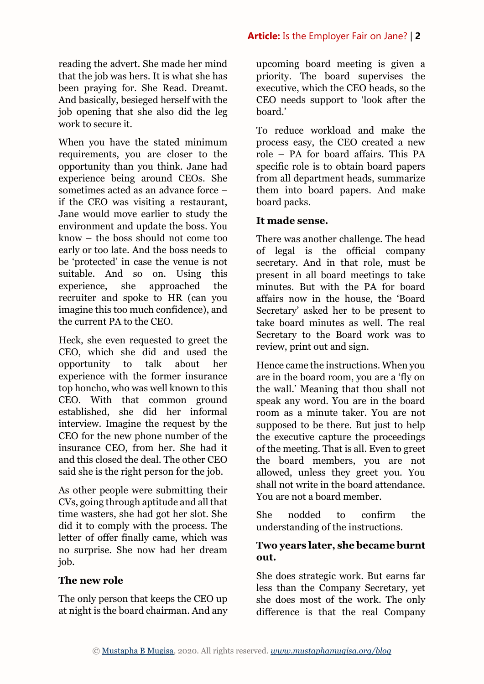When you have the stated minimum requirements, you are closer to the opportunity than you think. Jane had experience being around CEOs. She sometimes acted as an advance force – if the CEO was visiting a restaurant, Jane would move earlier to study the environment and update the boss. You know – the boss should not come too early or too late. And the boss needs to be 'protected' in case the venue is not suitable. And so on. Using this experience, she approached the recruiter and spoke to HR (can you imagine this too much confidence), and the current PA to the CEO.

Heck, she even requested to greet the CEO, which she did and used the opportunity to talk about her experience with the former insurance top honcho, who was well known to this CEO. With that common ground established, she did her informal interview. Imagine the request by the CEO for the new phone number of the insurance CEO, from her. She had it and this closed the deal. The other CEO said she is the right person for the job.

As other people were submitting their CVs, going through aptitude and all that time wasters, she had got her slot. She did it to comply with the process. The letter of offer finally came, which was no surprise. She now had her dream job.

# **The new role**

The only person that keeps the CEO up at night is the board chairman. And any

upcoming board meeting is given a priority. The board supervises the executive, which the CEO heads, so the CEO needs support to 'look after the board.'

To reduce workload and make the process easy, the CEO created a new role – PA for board affairs. This PA specific role is to obtain board papers from all department heads, summarize them into board papers. And make board packs.

# **It made sense.**

There was another challenge. The head of legal is the official company secretary. And in that role, must be present in all board meetings to take minutes. But with the PA for board affairs now in the house, the 'Board Secretary' asked her to be present to take board minutes as well. The real Secretary to the Board work was to review, print out and sign.

Hence came the instructions. When you are in the board room, you are a 'fly on the wall.' Meaning that thou shall not speak any word. You are in the board room as a minute taker. You are not supposed to be there. But just to help the executive capture the proceedings of the meeting. That is all. Even to greet the board members, you are not allowed, unless they greet you. You shall not write in the board attendance. You are not a board member.

She nodded to confirm the understanding of the instructions.

# **Two years later, she became burnt out.**

She does strategic work. But earns far less than the Company Secretary, yet she does most of the work. The only difference is that the real Company